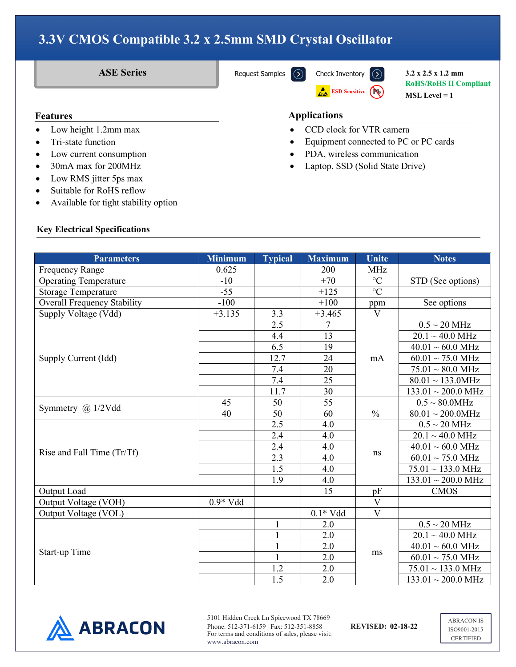**ASE Series** [Request Samples](https://www.abraconlink.com/samplelink/samplerequest.php)  $\overline{(\lambda)}$  [Check Inventory](https://dilp.netcomponents.com/cgi-bin/abracon.asp?partnumber1=ASE&partnumber2=&partnumber3=&mode=1&pq=Search)  $\overline{(\lambda)}$  3.2 x 2.5 x 1.2 mm **RoHS/RoHS II Compliant MSL Level = 1**

#### **Features**

- Low height 1.2mm max
- Tri-state function
- Low current consumption
- 30mA max for 200MHz
- Low RMS jitter 5ps max
- Suitable for RoHS reflow
- Available for tight stability option

# **Features Applications**

• CCD clock for VTR camera

**ESD Sensitive (PO)** 

- Equipment connected to PC or PC cards
- PDA, wireless communication
- Laptop, SSD (Solid State Drive)

#### **Key Electrical Specifications**

| <b>Parameters</b>                  | <b>Minimum</b> | <b>Typical</b> | <b>Maximum</b> | <b>Unite</b>    | <b>Notes</b>                    |
|------------------------------------|----------------|----------------|----------------|-----------------|---------------------------------|
| Frequency Range                    | 0.625          |                | 200            | <b>MHz</b>      |                                 |
| <b>Operating Temperature</b>       | $-10$          |                | $+70$          | $\rm ^{\circ}C$ | STD (See options)               |
| <b>Storage Temperature</b>         | $-55$          |                | $+125$         | $\overline{C}$  |                                 |
| <b>Overall Frequency Stability</b> | $-100$         |                | $+100$         | ppm             | See options                     |
| Supply Voltage (Vdd)               | $+3.135$       | 3.3            | $+3.465$       | $\mathbf{V}$    |                                 |
|                                    |                | 2.5            | 7              |                 | $0.5 \sim 20$ MHz               |
|                                    |                | 4.4            | 13             |                 | $20.1 \sim 40.0 \text{ MHz}$    |
|                                    |                | 6.5            | 19             |                 | $40.01 \sim 60.0 \text{ MHz}$   |
| Supply Current (Idd)               |                | 12.7           | 24             | mA              | $60.01 \sim 75.0$ MHz           |
|                                    |                | 7.4            | 20             |                 | $75.01 \sim 80.0 \text{ MHz}$   |
|                                    |                | 7.4            | 25             |                 | $80.01 \sim 133.0$ MHz          |
|                                    |                | 11.7           | 30             |                 | $133.01 \sim 200.0 \text{ MHz}$ |
| Symmetry $(a)$ 1/2Vdd              | 45             | 50             | 55             |                 | $0.5 \sim 80.0$ MHz             |
|                                    | 40             | 50             | 60             | $\frac{0}{0}$   | $80.01 \sim 200.0$ MHz          |
|                                    |                | 2.5            | 4.0            | ns              | $0.5 \sim 20$ MHz               |
|                                    |                | 2.4            | 4.0            |                 | $20.1 \sim 40.0 \text{ MHz}$    |
| Rise and Fall Time (Tr/Tf)         |                | 2.4            | 4.0            |                 | $40.01 \sim 60.0 \text{ MHz}$   |
|                                    |                | 2.3            | 4.0            |                 | $60.01 \sim 75.0$ MHz           |
|                                    |                | 1.5            | 4.0            |                 | $75.01 \sim 133.0 \text{ MHz}$  |
|                                    |                | 1.9            | 4.0            |                 | $133.01 \sim 200.0 \text{ MHz}$ |
| Output Load                        |                |                | 15             | pF              | <b>CMOS</b>                     |
| Output Voltage (VOH)               | $0.9*Vdd$      |                |                | $\overline{V}$  |                                 |
| Output Voltage (VOL)               |                |                | $0.1*Vdd$      | $\mathbf{V}$    |                                 |
| Start-up Time                      |                | $\mathbf{1}$   | 2.0            | ms              | $0.5 \sim 20$ MHz               |
|                                    |                |                | 2.0            |                 | $20.1 \sim 40.0 \text{ MHz}$    |
|                                    |                | 1              | 2.0            |                 | $40.01 \sim 60.0 \text{ MHz}$   |
|                                    |                | $\mathbf{1}$   | 2.0            |                 | $60.01 \sim 75.0$ MHz           |
|                                    |                | 1.2            | 2.0            |                 | $75.01 \sim 133.0 \text{ MHz}$  |
|                                    |                | 1.5            | 2.0            |                 | $133.01 \sim 200.0 \text{ MHz}$ |



5101 Hidden Creek Ln Spicewood TX 78669 Phone: 512-371-6159 | Fax: 512-351-8858 **REVISED: 02-18-22** For terms and conditions of sales, please visit: www.abracon.com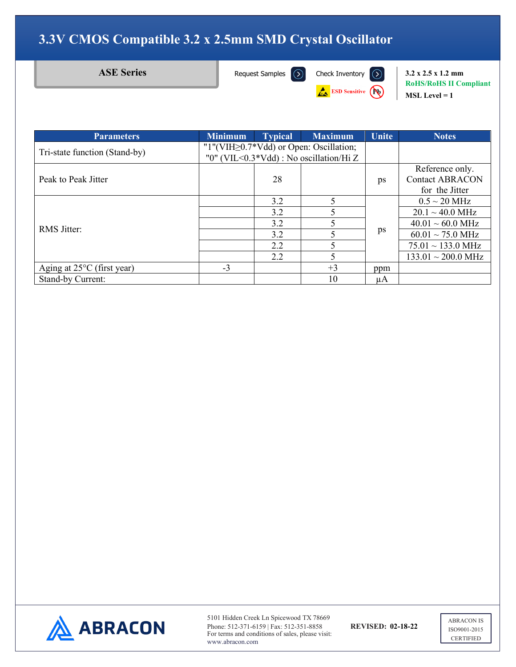**ESD Sensitive** 

**ASE Series** [Request Samples](https://www.abraconlink.com/samplelink/samplerequest.php)  $\overline{(\lambda)}$  [Check Inventory](https://dilp.netcomponents.com/cgi-bin/abracon.asp?partnumber1=ASE&partnumber2=&partnumber3=&mode=1&pq=Search)  $\overline{(\lambda)}$  3.2 x 2.5 x 1.2 mm **RoHS/RoHS II Compliant MSL Level = 1**

| <b>Parameters</b>                    | <b>Minimum</b>                                | <b>Typical</b> | <b>Maximum</b> | <b>Unite</b> | <b>Notes</b>                    |
|--------------------------------------|-----------------------------------------------|----------------|----------------|--------------|---------------------------------|
| Tri-state function (Stand-by)        | "1"(VIH $\geq$ 0.7*Vdd) or Open: Oscillation; |                |                |              |                                 |
|                                      | "0" (VIL<0.3*Vdd) : No oscillation/Hi Z       |                |                |              |                                 |
| Peak to Peak Jitter                  |                                               |                |                |              | Reference only.                 |
|                                      |                                               | 28             |                | ps           | <b>Contact ABRACON</b>          |
|                                      |                                               |                |                |              | for the Jitter                  |
| <b>RMS</b> Jitter:                   |                                               | 3.2            |                |              | $0.5 \sim 20$ MHz               |
|                                      |                                               | 3.2            |                |              | $20.1 \sim 40.0 \text{ MHz}$    |
|                                      |                                               | 3.2            |                |              | $40.01 \sim 60.0$ MHz           |
|                                      |                                               | 3.2            |                | ps           | $60.01 \sim 75.0$ MHz           |
|                                      |                                               | 2.2            |                |              | $75.01 \sim 133.0 \text{ MHz}$  |
|                                      |                                               | 2.2            |                |              | $133.01 \sim 200.0 \text{ MHz}$ |
| Aging at $25^{\circ}$ C (first year) | $-3$                                          |                | $+3$           | ppm          |                                 |
| <b>Stand-by Current:</b>             |                                               |                | 10             | μA           |                                 |



5101 Hidden Creek Ln Spicewood TX 78669 Phone: 512-371-6159 | Fax: 512-351-8858 **REVISED: 02-18-22** For terms and conditions of sales, please visit: www.abracon.com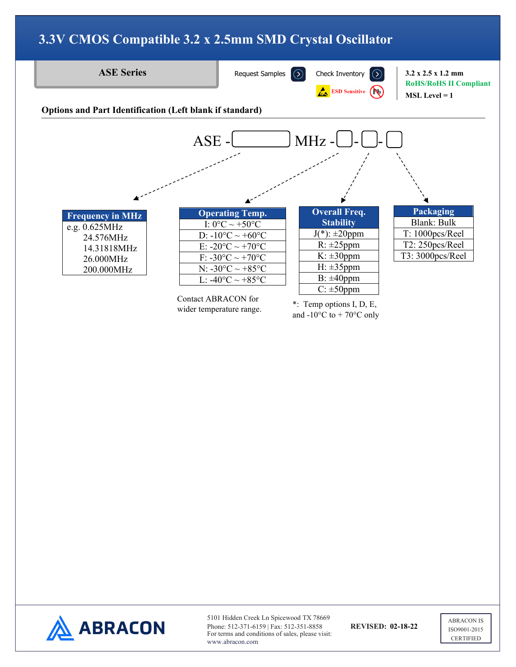

www.abracon.com

ISO9001-2015 **CERTIFIED**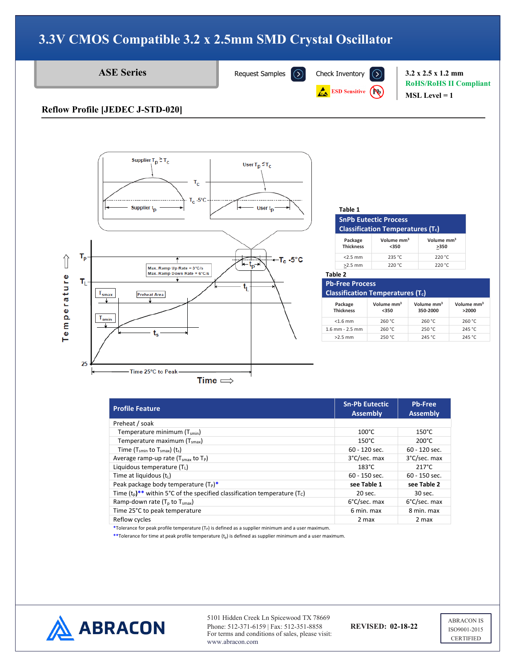

**ASE Series** [Request Samples](https://www.abraconlink.com/samplelink/samplerequest.php)  $\overline{)}$  [Check Inventory](https://dilp.netcomponents.com/cgi-bin/abracon.asp?partnumber1=ASE&partnumber2=&partnumber3=&mode=1&pq=Search)  $\overline{)}$  3.2 x 2.5 x 1.2 mm

**ESD Sensitive (Po)** 

**RoHS/RoHS II Compliant MSL Level = 1**

#### **Reflow Profile [JEDEC J-STD-020]**



#### **Table 1**

| SnPb Eutectic Process                   |  |
|-----------------------------------------|--|
| <b>Classification Temperatures (T.)</b> |  |

| Package<br><b>Thickness</b> | Volume mm <sup>3</sup><br>$350$ | Volume mm <sup>3</sup><br>>350 |
|-----------------------------|---------------------------------|--------------------------------|
| $<$ 2.5 mm                  | 235 °C                          | 220 °C                         |
| $>2.5$ mm                   | 220 °C                          | 220 °C                         |
|                             |                                 |                                |

#### **Table 2**

**Pb-Free Process Classification Temperatures (Tc)**

| Package<br><b>Thickness</b> | Volume mm <sup>3</sup><br>$350$ | Volume mm <sup>3</sup><br>350-2000 | Volume mm <sup>3</sup><br>>2000 |
|-----------------------------|---------------------------------|------------------------------------|---------------------------------|
| $<$ 1.6 mm                  | 260 °C                          | 260 °C                             | 260 °C                          |
| $1.6$ mm - $2.5$ mm         | 260 °C                          | 250 °C                             | 245 °C                          |
| $>2.5$ mm                   | 250 °C                          | 245 °C                             | 245 °C                          |

| <b>Profile Feature</b>                                                                              | <b>Sn-Pb Eutectic</b><br><b>Assembly</b> | <b>Pb-Free</b><br><b>Assembly</b> |
|-----------------------------------------------------------------------------------------------------|------------------------------------------|-----------------------------------|
| Preheat / soak                                                                                      |                                          |                                   |
| Temperature minimum (T <sub>smin</sub> )                                                            | $100^{\circ}$ C                          | $150^{\circ}$ C                   |
| Temperature maximum (T <sub>smax</sub> )                                                            | $150^{\circ}$ C                          | $200^{\circ}$ C                   |
| Time ( $T_{smin}$ to $T_{smax}$ ) ( $t_s$ )                                                         | 60 - 120 sec.                            | $60 - 120$ sec.                   |
| Average ramp-up rate $(T_{smax}$ to $T_P$ )                                                         | 3°C/sec. max                             | 3°C/sec. max                      |
| Liquidous temperature (TL)                                                                          | $183^{\circ}$ C                          | $217^{\circ}$ C                   |
| Time at liquidous $(t_L)$                                                                           | $60 - 150$ sec.                          | $60 - 150$ sec.                   |
| Peak package body temperature $(T_P)^*$                                                             | see Table 1                              | see Table 2                       |
| Time $(t_0)$ <sup>**</sup> within 5°C of the specified classification temperature (T <sub>C</sub> ) | 20 sec.                                  | 30 sec.                           |
| Ramp-down rate $(T_0$ to $T_{smax}$ )                                                               | 6°C/sec. max                             | 6°C/sec. max                      |
| Time 25°C to peak temperature                                                                       | 6 min. max                               | 8 min. max                        |
| Reflow cycles                                                                                       | 2 max                                    | 2 max                             |

\*Tolerance for peak profile temperature (T<sub>P</sub>) is defined as a supplier minimum and a user maximum.

\*\*Tolerance for time at peak profile temperature (t<sub>p</sub>) is defined as supplier minimum and a user maximum.



5101 Hidden Creek Ln Spicewood TX 78669 Phone: 512-371-6159 | Fax: 512-351-8858 **REVISED: 02-18-22** For terms and conditions of sales, please visit: www.abracon.com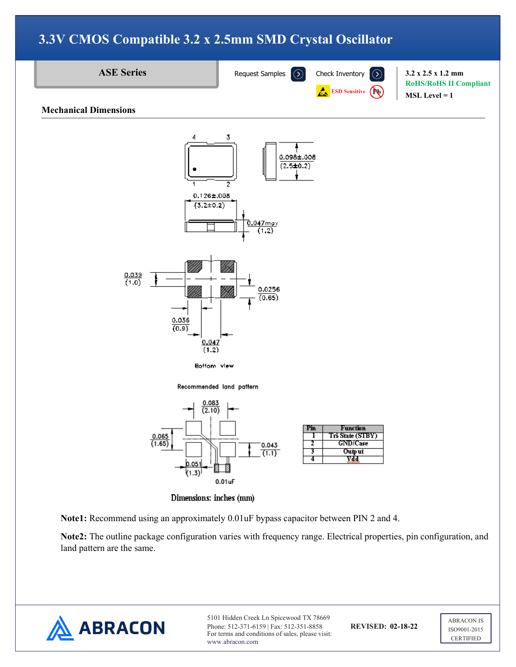



5101 Hidden Creek Ln Spicewood TX 78669 Phone: 512-371-6159 | Fax: 512-351-8858 **REVISED: 02-18-22** For terms and conditions of sales, please visit: www.abracon.com